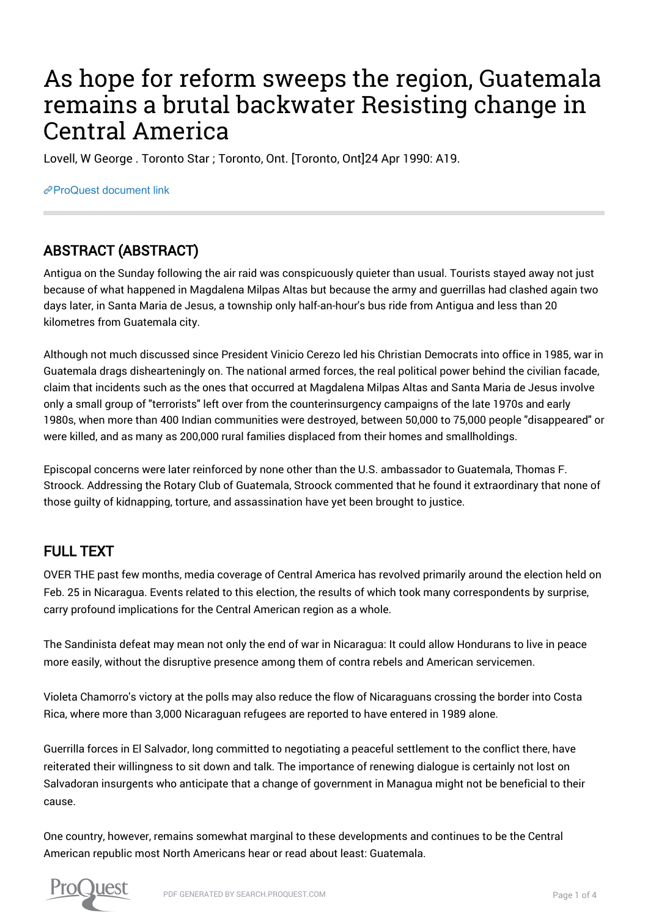# As hope for reform sweeps the region, Guatemala remains a brutal backwater Resisting change in Central America

Lovell, W George . Toronto Star ; Toronto, Ont. [Toronto, Ont]24 Apr 1990: A19.

[ProQuest document link](https://proxy.queensu.ca/login?url=https://search.proquest.com/docview/436168181?accountid=6180)

## ABSTRACT (ABSTRACT)

Antigua on the Sunday following the air raid was conspicuously quieter than usual. Tourists stayed away not just because of what happened in Magdalena Milpas Altas but because the army and guerrillas had clashed again two days later, in Santa Maria de Jesus, a township only half-an-hour's bus ride from Antigua and less than 20 kilometres from Guatemala city.

Although not much discussed since President Vinicio Cerezo led his Christian Democrats into office in 1985, war in Guatemala drags dishearteningly on. The national armed forces, the real political power behind the civilian facade, claim that incidents such as the ones that occurred at Magdalena Milpas Altas and Santa Maria de Jesus involve only a small group of "terrorists" left over from the counterinsurgency campaigns of the late 1970s and early 1980s, when more than 400 Indian communities were destroyed, between 50,000 to 75,000 people "disappeared" or were killed, and as many as 200,000 rural families displaced from their homes and smallholdings.

Episcopal concerns were later reinforced by none other than the U.S. ambassador to Guatemala, Thomas F. Stroock. Addressing the Rotary Club of Guatemala, Stroock commented that he found it extraordinary that none of those guilty of kidnapping, torture, and assassination have yet been brought to justice.

### FULL TEXT

OVER THE past few months, media coverage of Central America has revolved primarily around the election held on Feb. 25 in Nicaragua. Events related to this election, the results of which took many correspondents by surprise, carry profound implications for the Central American region as a whole.

The Sandinista defeat may mean not only the end of war in Nicaragua: It could allow Hondurans to live in peace more easily, without the disruptive presence among them of contra rebels and American servicemen.

Violeta Chamorro's victory at the polls may also reduce the flow of Nicaraguans crossing the border into Costa Rica, where more than 3,000 Nicaraguan refugees are reported to have entered in 1989 alone.

Guerrilla forces in El Salvador, long committed to negotiating a peaceful settlement to the conflict there, have reiterated their willingness to sit down and talk. The importance of renewing dialogue is certainly not lost on Salvadoran insurgents who anticipate that a change of government in Managua might not be beneficial to their cause.

One country, however, remains somewhat marginal to these developments and continues to be the Central American republic most North Americans hear or read about least: Guatemala.

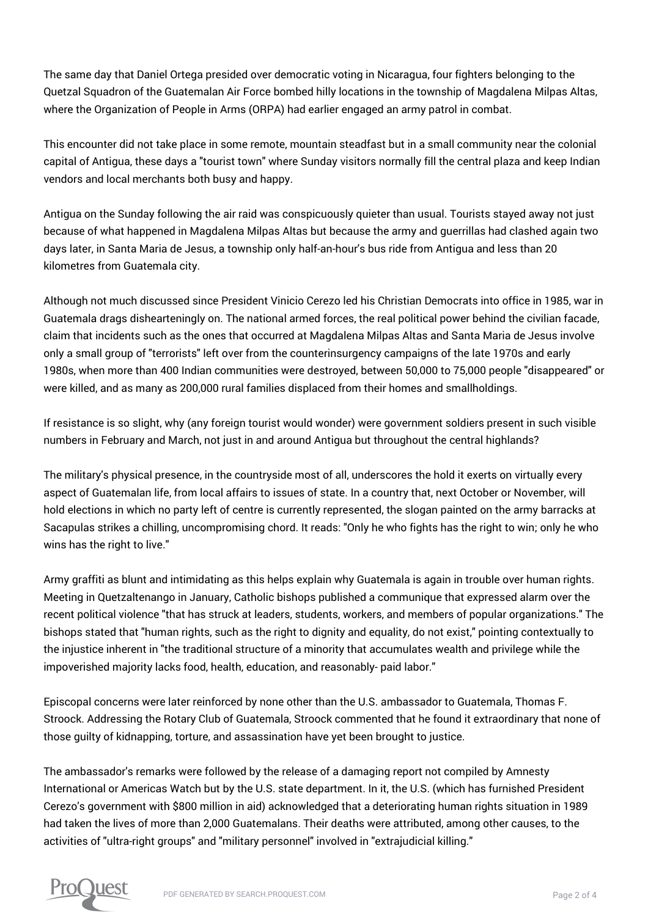The same day that Daniel Ortega presided over democratic voting in Nicaragua, four fighters belonging to the Quetzal Squadron of the Guatemalan Air Force bombed hilly locations in the township of Magdalena Milpas Altas, where the Organization of People in Arms (ORPA) had earlier engaged an army patrol in combat.

This encounter did not take place in some remote, mountain steadfast but in a small community near the colonial capital of Antigua, these days a "tourist town" where Sunday visitors normally fill the central plaza and keep Indian vendors and local merchants both busy and happy.

Antigua on the Sunday following the air raid was conspicuously quieter than usual. Tourists stayed away not just because of what happened in Magdalena Milpas Altas but because the army and guerrillas had clashed again two days later, in Santa Maria de Jesus, a township only half-an-hour's bus ride from Antigua and less than 20 kilometres from Guatemala city.

Although not much discussed since President Vinicio Cerezo led his Christian Democrats into office in 1985, war in Guatemala drags dishearteningly on. The national armed forces, the real political power behind the civilian facade, claim that incidents such as the ones that occurred at Magdalena Milpas Altas and Santa Maria de Jesus involve only a small group of "terrorists" left over from the counterinsurgency campaigns of the late 1970s and early 1980s, when more than 400 Indian communities were destroyed, between 50,000 to 75,000 people "disappeared" or were killed, and as many as 200,000 rural families displaced from their homes and smallholdings.

If resistance is so slight, why (any foreign tourist would wonder) were government soldiers present in such visible numbers in February and March, not just in and around Antigua but throughout the central highlands?

The military's physical presence, in the countryside most of all, underscores the hold it exerts on virtually every aspect of Guatemalan life, from local affairs to issues of state. In a country that, next October or November, will hold elections in which no party left of centre is currently represented, the slogan painted on the army barracks at Sacapulas strikes a chilling, uncompromising chord. It reads: "Only he who fights has the right to win; only he who wins has the right to live."

Army graffiti as blunt and intimidating as this helps explain why Guatemala is again in trouble over human rights. Meeting in Quetzaltenango in January, Catholic bishops published a communique that expressed alarm over the recent political violence "that has struck at leaders, students, workers, and members of popular organizations." The bishops stated that "human rights, such as the right to dignity and equality, do not exist," pointing contextually to the injustice inherent in "the traditional structure of a minority that accumulates wealth and privilege while the impoverished majority lacks food, health, education, and reasonably- paid labor."

Episcopal concerns were later reinforced by none other than the U.S. ambassador to Guatemala, Thomas F. Stroock. Addressing the Rotary Club of Guatemala, Stroock commented that he found it extraordinary that none of those guilty of kidnapping, torture, and assassination have yet been brought to justice.

The ambassador's remarks were followed by the release of a damaging report not compiled by Amnesty International or Americas Watch but by the U.S. state department. In it, the U.S. (which has furnished President Cerezo's government with \$800 million in aid) acknowledged that a deteriorating human rights situation in 1989 had taken the lives of more than 2,000 Guatemalans. Their deaths were attributed, among other causes, to the activities of "ultra-right groups" and "military personnel" involved in "extrajudicial killing."

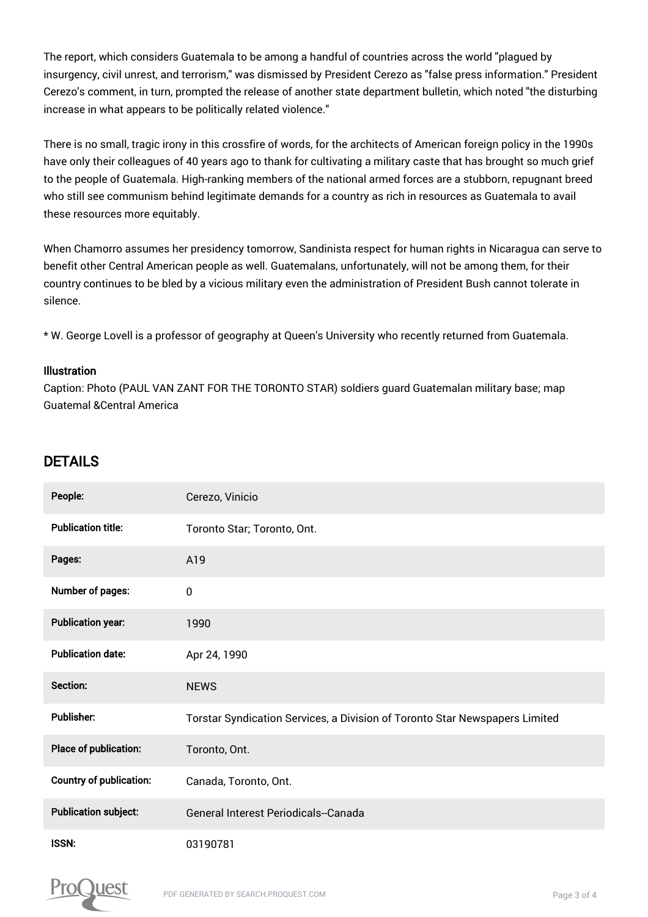The report, which considers Guatemala to be among a handful of countries across the world "plagued by insurgency, civil unrest, and terrorism," was dismissed by President Cerezo as "false press information." President Cerezo's comment, in turn, prompted the release of another state department bulletin, which noted "the disturbing increase in what appears to be politically related violence."

There is no small, tragic irony in this crossfire of words, for the architects of American foreign policy in the 1990s have only their colleagues of 40 years ago to thank for cultivating a military caste that has brought so much grief to the people of Guatemala. High-ranking members of the national armed forces are a stubborn, repugnant breed who still see communism behind legitimate demands for a country as rich in resources as Guatemala to avail these resources more equitably.

When Chamorro assumes her presidency tomorrow, Sandinista respect for human rights in Nicaragua can serve to benefit other Central American people as well. Guatemalans, unfortunately, will not be among them, for their country continues to be bled by a vicious military even the administration of President Bush cannot tolerate in silence.

\* W. George Lovell is a professor of geography at Queen's University who recently returned from Guatemala.

#### Illustration

Caption: Photo (PAUL VAN ZANT FOR THE TORONTO STAR) soldiers guard Guatemalan military base; map Guatemal &Central America

#### DETAILS

| People:                        | Cerezo, Vinicio                                                             |
|--------------------------------|-----------------------------------------------------------------------------|
| <b>Publication title:</b>      | Toronto Star; Toronto, Ont.                                                 |
| Pages:                         | A19                                                                         |
| Number of pages:               | $\mathbf 0$                                                                 |
| <b>Publication year:</b>       | 1990                                                                        |
| <b>Publication date:</b>       | Apr 24, 1990                                                                |
| Section:                       | <b>NEWS</b>                                                                 |
| <b>Publisher:</b>              | Torstar Syndication Services, a Division of Toronto Star Newspapers Limited |
| <b>Place of publication:</b>   | Toronto, Ont.                                                               |
| <b>Country of publication:</b> | Canada, Toronto, Ont.                                                       |
| <b>Publication subject:</b>    | <b>General Interest Periodicals--Canada</b>                                 |
| <b>ISSN:</b>                   | 03190781                                                                    |